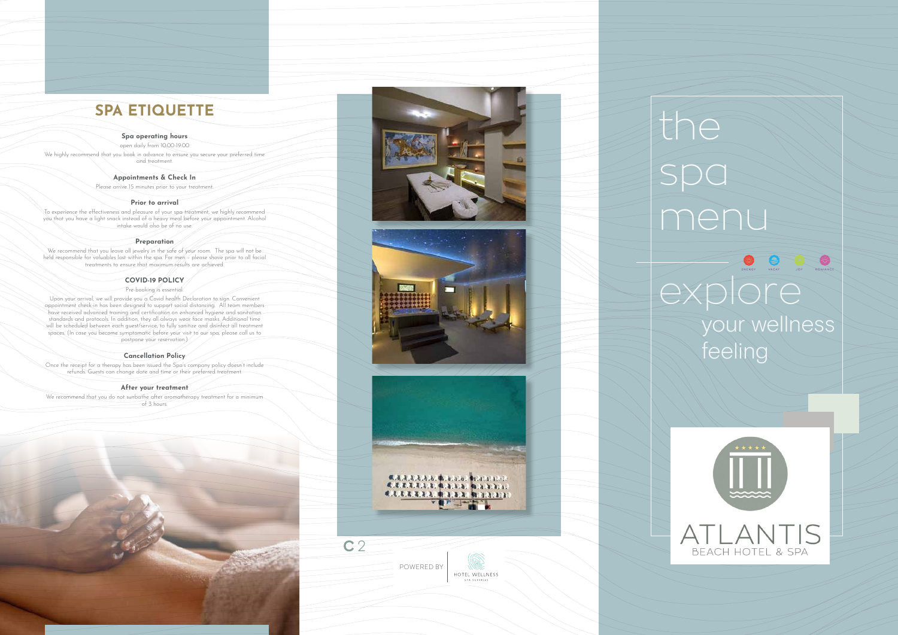# the spa menu  $\bigoplus$ PE OF explore your wellness feeling

POWERED BY HOTEL WELLNESS



## **SPA ETIQUETTE**

#### **Spa operating hours**

open daily from 10:00-19:00 We highly recommend that you book in advance to ensure you secure your preferred time and treatment.

#### **Appointments & Check In**

Please arrive 15 minutes prior to your treatment.

#### **Prior to arrival**

To experience the effectiveness and pleasure of your spa treatment, we highly recommend you that you have a light snack instead of a heavy meal before your appointment. Alcohol intake would also be of no use.

#### **Preparation**

We recommend that you leave all jewelry in the safe of your room. The spa will not be held responsible for valuables lost within the spa. For men – please shave prior to all facial treatments to ensure that maximum results are achieved.

#### **COVID-19 POLICY**

#### Pre-booking is essential.

We recommend that you do not sunbathe after aromatherapy treatment for a minimum of 3 hours.







Upon your arrival, we will provide you a Covid health Declaration to sign. Convenient appointment check-in has been designed to support social distancing. All team members have received advanced training and certification on enhanced hygiene and sanitation standards and protocols. In addition, they all always wear face masks. Additional time will be scheduled between each guest/service, to fully sanitize and disinfect all treatment spaces. (In case you become symptomatic before your visit to our spa, please call us to postpone your reservation.)

#### **Cancellation Policy**

Once the receipt for a therapy has been issued the Spa's company policy doesn't include refunds. Guests can change date and time or their preferred treatment.

#### **After your treatment**